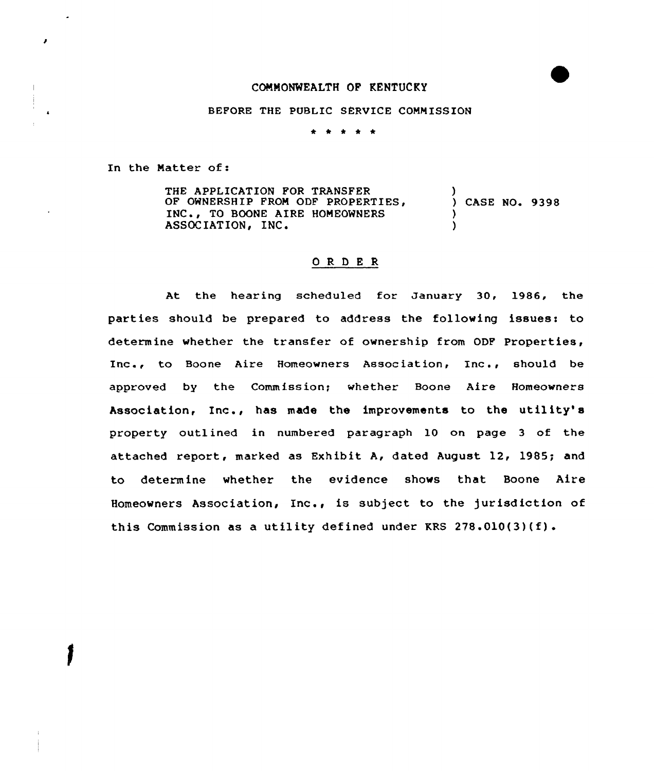## COMMONWEALTH OF KENTUCKY

### BEFORE THE PUBLIC SERUICE COMMISSION

\* \* \* \* \*

In the Matter of:

THE APPLICATION FOR TRANSFER OF OWNERSHIP FROM ODF PROPERTIES, INC., TO BOONE AIRE HOMEOWNERS ASSOCIATION, INC. ) CASE NO. 9398 ) )

### ORDER

At the hearing scheduled for January 30, 1986, the parties should be prepared to address the following issues: to determine whether the transfer of ownership from ODF Properties, Inc., to Boone Aire Homeowners Association, Inc., should be approved by the Commission; whether Boone Aire Homeowners Association, Inc., has made the improvements to the utility's property outlined in numbered paragraph 10 on page 3 of the attached report, marked as Exhibit A, dated August 12, 1985; and to determine whether the evidence shows that Boone Aire Homeowners Association, Inc., is subject to the jurisdiction of this Commission as a utility defined under KRS 278.010(3)(f).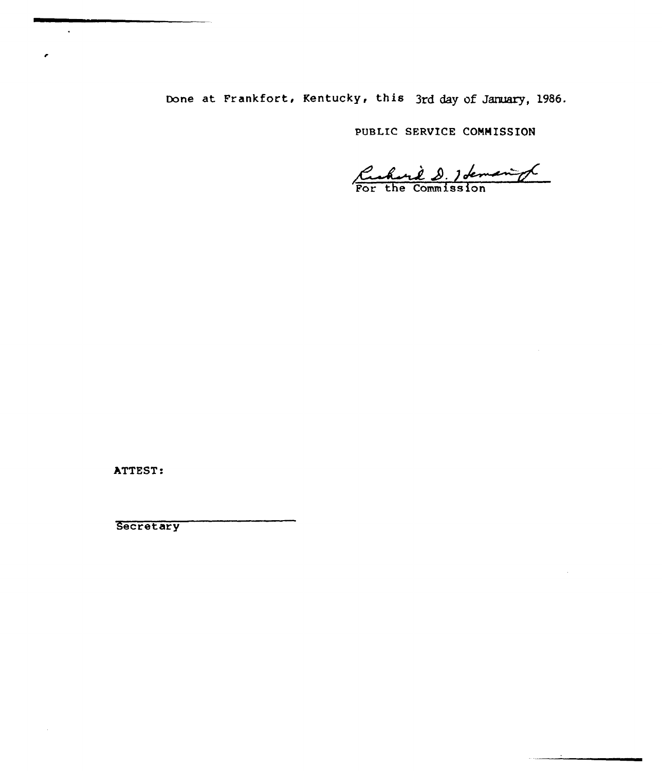Done at Frankfort, Kentucky, this 3rd day of January, 1986.

PUBLIC SERUICE CONNISSION

Curril D. 1 demand

ATTEST:

 $\ddot{\phantom{0}}$ 

×

 $\sim$ 

**Secretary**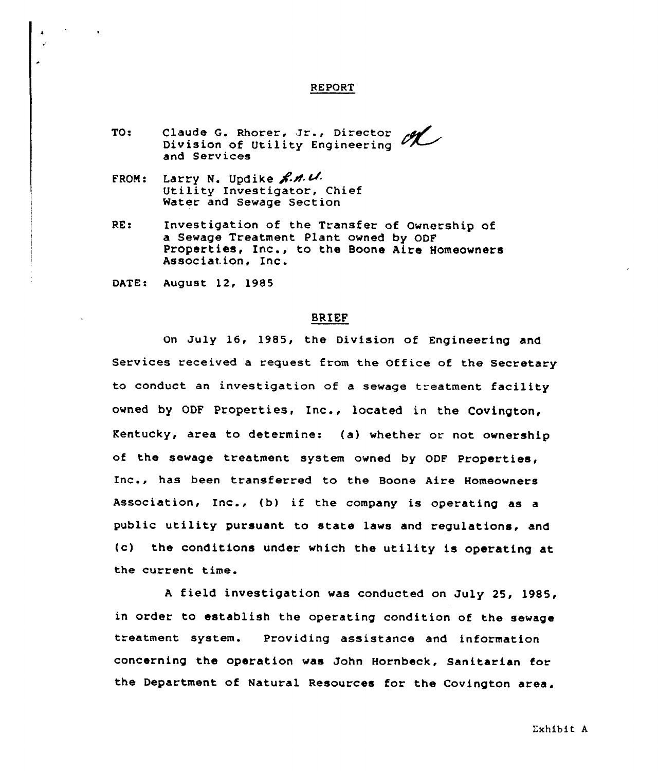## REPORT

- TO: Claude G. Rhorer, Ir., Director Division of Utility Engineering and Services
- FROM: Larry N. Updike  $\mathcal{R.M. U.}$ Utility Investigator, Chief Water and Sewage Section
- RE: Investigation of the Transfer of Ownership of a Sewage Treatment Plant owned by ODF Properties, Inc., to the Boone Aire Homeowners Association, Inc.

DATE: August 12, 1985

# BRIEF

On July 16, 1985, the Division of Engineering and Services received a request from the Office of the Secretary to conduct an investigation of a sewage treatment facility owned by ODF Properties, Inc., located in the Covington, Kentucky, area to determines (a) whether or not ownership of the sewage treatment system owned by ODF Properties, Inc., has been transferred to the Boone Aire Homeowners Association, Inc., (b) if the company is operating as <sup>a</sup> public utility pursuant to state laws and regulations, and {c) the conditions under which the utility is operating at the current time.

<sup>A</sup> field investigation was conducted on July 25, 19S5, in order to establish the operating condition of the sewage treatment system. Providing assistance and information concerning the operation was John Hornbeck, Sanitarian for the Department of Natural Resources for the Covington area.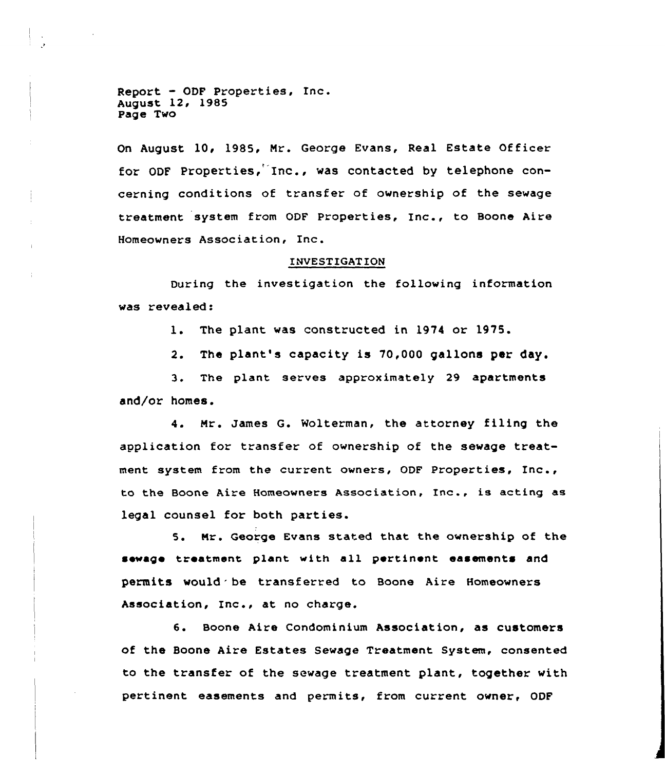Report - ODF Properties, Inc. August 12, 1985 Page Two

On August 10< 1985, Mr. George Evans, Real Estate Officer for ODF Properties, Inc., was contacted by telephone concerning conditions of transfer of ownership of the sewage treatment system from ODF Properties, Inc., to Boone Aire Homeowners Association, Inc.

#### INVESTIGATION

During the investigation the following information was revealed:

l. The plant was constructed in <sup>1974</sup> or 1975.

2. The plant's capacity is 70,000 gallons per day.

3. The plant serves approximately <sup>29</sup> apartments and/or homes.

4. Mr. James G. Wolterman, the attorney filing the application for transfer of ownership of the sewage treatment system from the current owners, ODF Properties, Inc., to the Boone Aire Homeowners Association, Inc., is acting as legal counsel for both parties.

5. Nr. George Evans stated that the ownership of the sewage treatment plant with all pertinent easements and permits would be transferred to Boone Aire Homeowners Association, Inc., at no charge.

6. Boone Aire Condominium Association, as customers of the Boone Aire Estates Sewage Treatment System, consented to the transfer of the sewage treatment plant, together with pertinent easements and permits, from current owner, ODF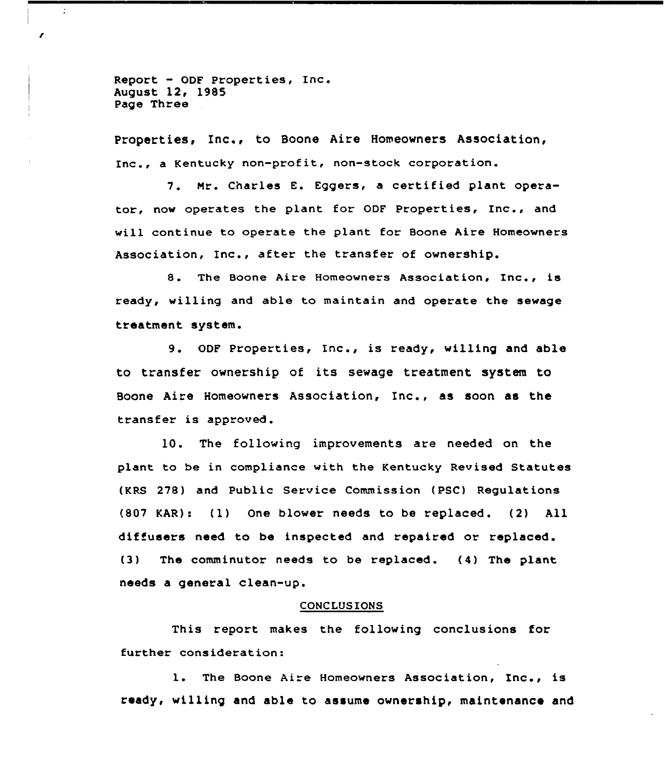Report - ODF Properties, Inc. August 12< 1985 Page Three

÷

Properties, Inc., to Boone Aire Homeowners Association, Inc., <sup>a</sup> Kentucky non-profit, non-stock corporation.

7. Mr. Charles E. Eggers, a certified plant operator, now operates the plant for ODF Properties, Inc., and will continue to operate the plant for Boone Aire Homeowners Association, Inc., after the transfer of ownership.

8. The Boone Aire Homeowners Association, Inc., is ready, willing and able to maintain and operate the sewage treatment system.

9. ODF Properties, Inc., is ready, willing and able to transfer ownership of its sewage treatment system to Boone Aire Homeowners Association, Inc., as soon as the transfer is approved.

10. The following improvements are needed on the plant to be in compliance with the Kentucky Revised Statutes (KRS 278) and Public Service Commission (PSC) Regulations (807 KAR): (1) One blower needs to be replaced. (2) All diffusers need to be inspected and repaired or replaced. (3) The comminutor needs to be replaced. (4) The plant needs a general clean-up.

#### CONCLUSIONS

This report makes the following conclusions for further consideration:

l. The Boone Aire Homeowners Association, Inc., is ready, willing and able to assume ownership, maintenance and